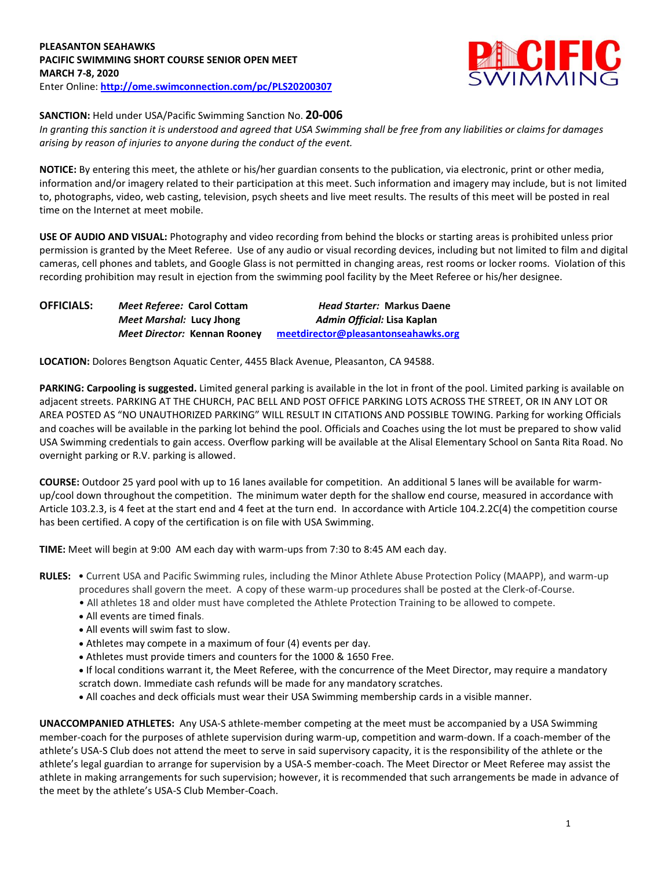## **PLEASANTON SEAHAWKS PACIFIC SWIMMING SHORT COURSE SENIOR OPEN MEET MARCH 7-8, 2020** Enter Online: **<http://ome.swimconnection.com/pc/PLS20200307>**



## **SANCTION:** Held under USA/Pacific Swimming Sanction No. **20-006**

*In granting this sanction it is understood and agreed that USA Swimming shall be free from any liabilities or claims for damages arising by reason of injuries to anyone during the conduct of the event.*

**NOTICE:** By entering this meet, the athlete or his/her guardian consents to the publication, via electronic, print or other media, information and/or imagery related to their participation at this meet. Such information and imagery may include, but is not limited to, photographs, video, web casting, television, psych sheets and live meet results. The results of this meet will be posted in real time on the Internet at meet mobile.

**USE OF AUDIO AND VISUAL:** Photography and video recording from behind the blocks or starting areas is prohibited unless prior permission is granted by the Meet Referee. Use of any audio or visual recording devices, including but not limited to film and digital cameras, cell phones and tablets, and Google Glass is not permitted in changing areas, rest rooms or locker rooms. Violation of this recording prohibition may result in ejection from the swimming pool facility by the Meet Referee or his/her designee.

| <b>OFFICIALS:</b> | Meet Referee: Carol Cottam   | <b>Head Starter: Markus Daene</b>   |
|-------------------|------------------------------|-------------------------------------|
|                   | Meet Marshal: Lucy Jhong     | Admin Official: Lisa Kaplan         |
|                   | Meet Director: Kennan Rooney | meetdirector@pleasantonseahawks.org |

**LOCATION:** Dolores Bengtson Aquatic Center, 4455 Black Avenue, Pleasanton, CA 94588.

**PARKING: Carpooling is suggested.** Limited general parking is available in the lot in front of the pool. Limited parking is available on adjacent streets. PARKING AT THE CHURCH, PAC BELL AND POST OFFICE PARKING LOTS ACROSS THE STREET, OR IN ANY LOT OR AREA POSTED AS "NO UNAUTHORIZED PARKING" WILL RESULT IN CITATIONS AND POSSIBLE TOWING. Parking for working Officials and coaches will be available in the parking lot behind the pool. Officials and Coaches using the lot must be prepared to show valid USA Swimming credentials to gain access. Overflow parking will be available at the Alisal Elementary School on Santa Rita Road. No overnight parking or R.V. parking is allowed.

**COURSE:** Outdoor 25 yard pool with up to 16 lanes available for competition. An additional 5 lanes will be available for warmup/cool down throughout the competition. The minimum water depth for the shallow end course, measured in accordance with Article 103.2.3, is 4 feet at the start end and 4 feet at the turn end. In accordance with Article 104.2.2C(4) the competition course has been certified. A copy of the certification is on file with USA Swimming.

**TIME:** Meet will begin at 9:00 AM each day with warm-ups from 7:30 to 8:45 AM each day.

- **RULES:** Current USA and Pacific Swimming rules, including the Minor Athlete Abuse Protection Policy (MAAPP), and warm-up procedures shall govern the meet. A copy of these warm-up procedures shall be posted at the Clerk-of-Course.
	- All athletes 18 and older must have completed the Athlete Protection Training to be allowed to compete.
	- All events are timed finals.
	- All events will swim fast to slow.
	- Athletes may compete in a maximum of four (4) events per day.
	- Athletes must provide timers and counters for the 1000 & 1650 Free.
	- If local conditions warrant it, the Meet Referee, with the concurrence of the Meet Director, may require a mandatory scratch down. Immediate cash refunds will be made for any mandatory scratches.
	- All coaches and deck officials must wear their USA Swimming membership cards in a visible manner.

**UNACCOMPANIED ATHLETES:** Any USA-S athlete-member competing at the meet must be accompanied by a USA Swimming member-coach for the purposes of athlete supervision during warm-up, competition and warm-down. If a coach-member of the athlete's USA-S Club does not attend the meet to serve in said supervisory capacity, it is the responsibility of the athlete or the athlete's legal guardian to arrange for supervision by a USA-S member-coach. The Meet Director or Meet Referee may assist the athlete in making arrangements for such supervision; however, it is recommended that such arrangements be made in advance of the meet by the athlete's USA-S Club Member-Coach.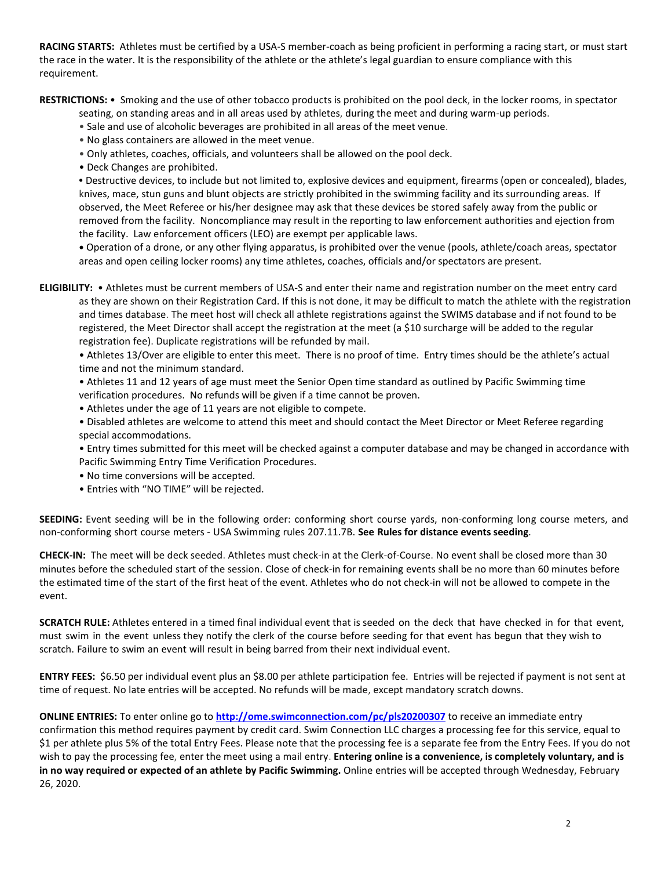**RACING STARTS:** Athletes must be certified by a USA-S member-coach as being proficient in performing a racing start, or must start the race in the water. It is the responsibility of the athlete or the athlete's legal guardian to ensure compliance with this requirement.

**RESTRICTIONS:** • Smoking and the use of other tobacco products is prohibited on the pool deck, in the locker rooms, in spectator

seating, on standing areas and in all areas used by athletes, during the meet and during warm-up periods.

- Sale and use of alcoholic beverages are prohibited in all areas of the meet venue.
- No glass containers are allowed in the meet venue.
- Only athletes, coaches, officials, and volunteers shall be allowed on the pool deck.
- Deck Changes are prohibited.

**•** Destructive devices, to include but not limited to, explosive devices and equipment, firearms (open or concealed), blades, knives, mace, stun guns and blunt objects are strictly prohibited in the swimming facility and its surrounding areas. If observed, the Meet Referee or his/her designee may ask that these devices be stored safely away from the public or removed from the facility. Noncompliance may result in the reporting to law enforcement authorities and ejection from the facility. Law enforcement officers (LEO) are exempt per applicable laws.

**•** Operation of a drone, or any other flying apparatus, is prohibited over the venue (pools, athlete/coach areas, spectator areas and open ceiling locker rooms) any time athletes, coaches, officials and/or spectators are present.

**ELIGIBILITY:** • Athletes must be current members of USA-S and enter their name and registration number on the meet entry card as they are shown on their Registration Card. If this is not done, it may be difficult to match the athlete with the registration and times database. The meet host will check all athlete registrations against the SWIMS database and if not found to be registered, the Meet Director shall accept the registration at the meet (a \$10 surcharge will be added to the regular registration fee). Duplicate registrations will be refunded by mail.

• Athletes 13/Over are eligible to enter this meet. There is no proof of time. Entry times should be the athlete's actual time and not the minimum standard.

• Athletes 11 and 12 years of age must meet the Senior Open time standard as outlined by Pacific Swimming time verification procedures. No refunds will be given if a time cannot be proven.

• Athletes under the age of 11 years are not eligible to compete.

• Disabled athletes are welcome to attend this meet and should contact the Meet Director or Meet Referee regarding special accommodations.

• Entry times submitted for this meet will be checked against a computer database and may be changed in accordance with Pacific Swimming Entry Time Verification Procedures.

- No time conversions will be accepted.
- Entries with "NO TIME" will be rejected.

**SEEDING:** Event seeding will be in the following order: conforming short course yards, non-conforming long course meters, and non-conforming short course meters - USA Swimming rules 207.11.7B. **See Rules for distance events seeding**.

**CHECK-IN:** The meet will be deck seeded. Athletes must check-in at the Clerk-of-Course. No event shall be closed more than 30 minutes before the scheduled start of the session. Close of check‐in for remaining events shall be no more than 60 minutes before the estimated time of the start of the first heat of the event. Athletes who do not check-in will not be allowed to compete in the event.

**SCRATCH RULE:** Athletes entered in a timed final individual event that is seeded on the deck that have checked in for that event, must swim in the event unless they notify the clerk of the course before seeding for that event has begun that they wish to scratch. Failure to swim an event will result in being barred from their next individual event.

**ENTRY FEES:** \$6.50 per individual event plus an \$8.00 per athlete participation fee. Entries will be rejected if payment is not sent at time of request. No late entries will be accepted. No refunds will be made, except mandatory scratch downs.

**ONLINE ENTRIES:** To enter online go to **<http://ome.swimconnection.com/pc/pls20200307>** to receive an immediate entry confirmation this method requires payment by credit card. Swim Connection LLC charges a processing fee for this service, equal to \$1 per athlete plus 5% of the total Entry Fees. Please note that the processing fee is a separate fee from the Entry Fees. If you do not wish to pay the processing fee, enter the meet using a mail entry. **Entering online is a convenience, is completely voluntary, and is in no way required or expected of an athlete by Pacific Swimming.** Online entries will be accepted through Wednesday, February 26, 2020.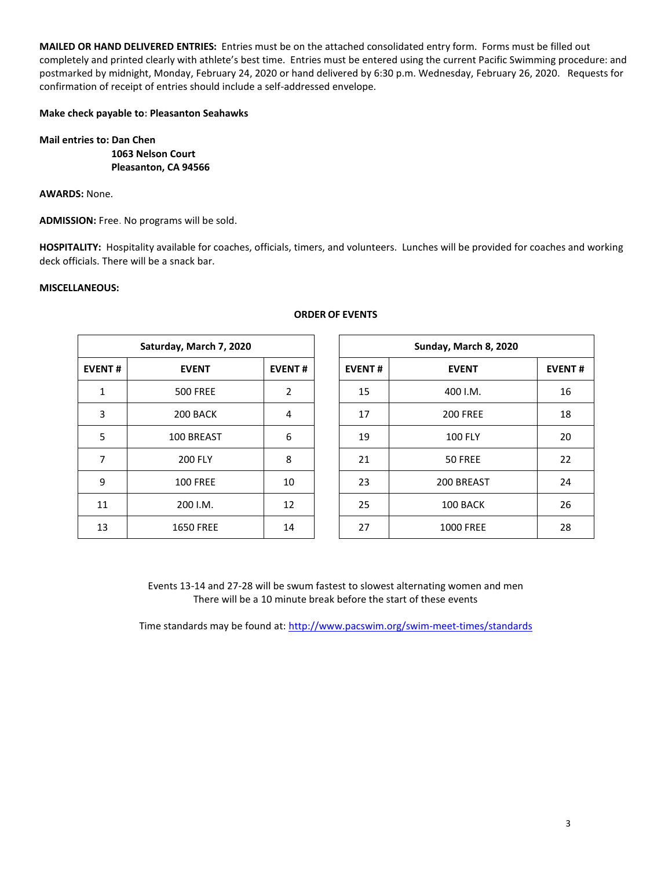**MAILED OR HAND DELIVERED ENTRIES:** Entries must be on the attached consolidated entry form. Forms must be filled out completely and printed clearly with athlete's best time. Entries must be entered using the current Pacific Swimming procedure: and postmarked by midnight, Monday, February 24, 2020 or hand delivered by 6:30 p.m. Wednesday, February 26, 2020. Requests for confirmation of receipt of entries should include a self-addressed envelope.

### **Make check payable to: Pleasanton Seahawks**

**Mail entries to: Dan Chen 1063 Nelson Court Pleasanton, CA 94566**

**AWARDS:** None.

**ADMISSION:** Free. No programs will be sold.

**HOSPITALITY:** Hospitality available for coaches, officials, timers, and volunteers. Lunches will be provided for coaches and working deck officials. There will be a snack bar.

### **MISCELLANEOUS:**

|               | Saturday, March 7, 2020 |                |               | Sunday, March 8, 2020 |             |  |  |  |
|---------------|-------------------------|----------------|---------------|-----------------------|-------------|--|--|--|
| <b>EVENT#</b> | <b>EVENT</b>            | <b>EVENT#</b>  | <b>EVENT#</b> | <b>EVENT</b>          | <b>EVEN</b> |  |  |  |
| $\mathbf{1}$  | <b>500 FREE</b>         | $\overline{2}$ | 15            | 400 I.M.              | 16          |  |  |  |
| 3             | 200 BACK                | 4              | 17            | <b>200 FREE</b>       | 18          |  |  |  |
| 5             | 100 BREAST              | 6              | 19            | <b>100 FLY</b>        | 20          |  |  |  |
| 7             | <b>200 FLY</b>          | 8              | 21            | 50 FREE               | 22          |  |  |  |
| 9             | <b>100 FREE</b>         | 10             | 23            | 200 BREAST            | 24          |  |  |  |
| 11            | 200 I.M.                | 12             | 25            | 100 BACK              | 26          |  |  |  |
| 13            | <b>1650 FREE</b>        | 14             | 27            | <b>1000 FREE</b>      | 28          |  |  |  |

# **Saturday, March 7, 2020 Sunday, March 8, 2020 EVENT # EVENT EVENT # EVENT # EVENT EVENT #** 1 | 500 FREE | 2 | | 15 | 400 I.M. | 16 3 | 200 BACK | 4 | | 17 | 200 FREE | 18 5 | 100 BREAST | 6 | | 19 | 100 FLY | 20 7 | 200 FLY | 8 | 21 | 50 FREE | 22 23 200 BREAST 24 11 | 200 I.M. | 12 | | 25 | 100 BACK | 26

Events 13-14 and 27-28 will be swum fastest to slowest alternating women and men There will be a 10 minute break before the start of these events

Time standards may be found at:<http://www.pacswim.org/swim-meet-times/standards>

#### 3

## **ORDER OF EVENTS**